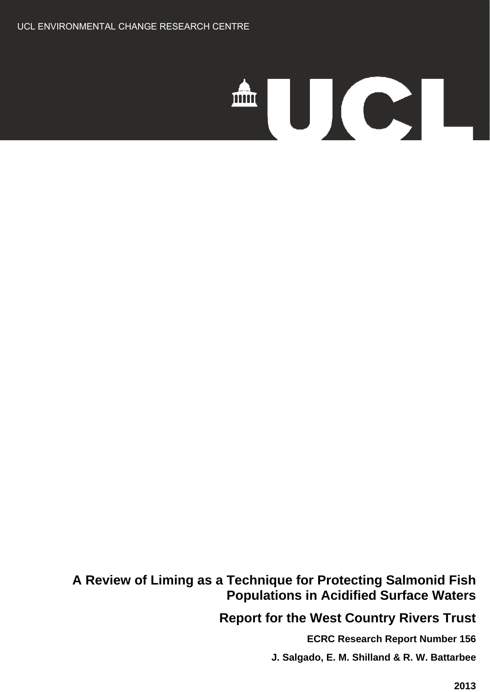# AUCI.

# **A Review of Liming as a Technique for Protecting Salmonid Fish Populations in Acidified Surface Waters**

 **Report for the West Country Rivers Trust**

**ECRC Research Report Number 156** 

 **J. Salgado, E. M. Shilland & R. W. Battarbee**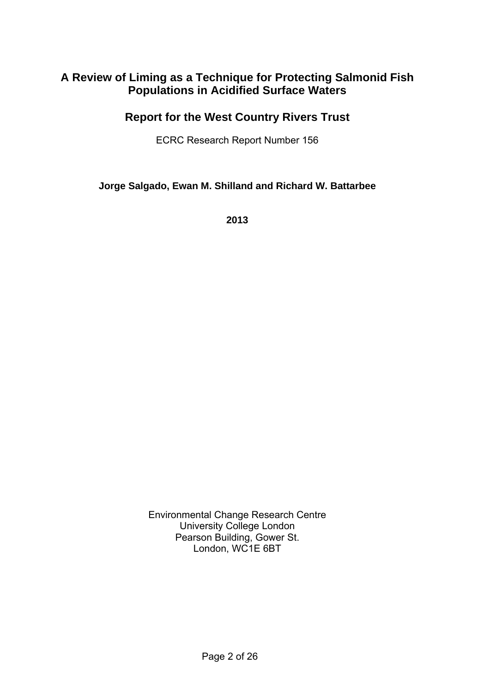### **A Review of Liming as a Technique for Protecting Salmonid Fish Populations in Acidified Surface Waters**

### **Report for the West Country Rivers Trust**

ECRC Research Report Number 156

**Jorge Salgado, Ewan M. Shilland and Richard W. Battarbee**

**2013** 

Environmental Change Research Centre University College London Pearson Building, Gower St. London, WC1E 6BT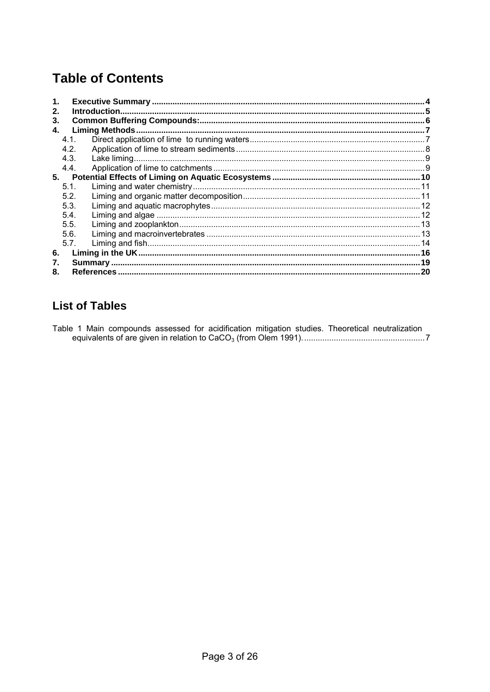# **Table of Contents**

| 1.       |      |  |  |  |  |  |
|----------|------|--|--|--|--|--|
| 2.<br>3. |      |  |  |  |  |  |
| 4.       |      |  |  |  |  |  |
|          | 4.1. |  |  |  |  |  |
|          | 4.2. |  |  |  |  |  |
|          | 4.3. |  |  |  |  |  |
|          | 4.4. |  |  |  |  |  |
| 5.       |      |  |  |  |  |  |
|          | 5.1. |  |  |  |  |  |
|          | 5.2. |  |  |  |  |  |
|          | 5.3. |  |  |  |  |  |
|          | 5.4. |  |  |  |  |  |
|          | 5.5. |  |  |  |  |  |
|          | 5.6. |  |  |  |  |  |
|          | 5.7. |  |  |  |  |  |
| 6.       |      |  |  |  |  |  |
| 7.       |      |  |  |  |  |  |
| 8.       | 20   |  |  |  |  |  |

### **List of Tables**

Table 1 Main compounds assessed for acidification mitigation studies. Theoretical neutralization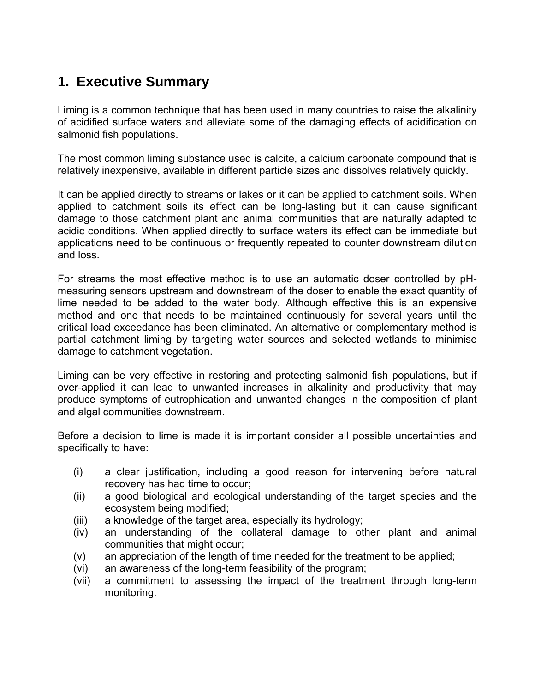# <span id="page-3-0"></span>**1. Executive Summary**

Liming is a common technique that has been used in many countries to raise the alkalinity of acidified surface waters and alleviate some of the damaging effects of acidification on salmonid fish populations.

The most common liming substance used is calcite, a calcium carbonate compound that is relatively inexpensive, available in different particle sizes and dissolves relatively quickly.

It can be applied directly to streams or lakes or it can be applied to catchment soils. When applied to catchment soils its effect can be long-lasting but it can cause significant damage to those catchment plant and animal communities that are naturally adapted to acidic conditions. When applied directly to surface waters its effect can be immediate but applications need to be continuous or frequently repeated to counter downstream dilution and loss.

For streams the most effective method is to use an automatic doser controlled by pHmeasuring sensors upstream and downstream of the doser to enable the exact quantity of lime needed to be added to the water body. Although effective this is an expensive method and one that needs to be maintained continuously for several years until the critical load exceedance has been eliminated. An alternative or complementary method is partial catchment liming by targeting water sources and selected wetlands to minimise damage to catchment vegetation.

Liming can be very effective in restoring and protecting salmonid fish populations, but if over-applied it can lead to unwanted increases in alkalinity and productivity that may produce symptoms of eutrophication and unwanted changes in the composition of plant and algal communities downstream.

Before a decision to lime is made it is important consider all possible uncertainties and specifically to have:

- (i) a clear justification, including a good reason for intervening before natural recovery has had time to occur;
- (ii) a good biological and ecological understanding of the target species and the ecosystem being modified;
- (iii) a knowledge of the target area, especially its hydrology;
- (iv) an understanding of the collateral damage to other plant and animal communities that might occur;
- (v) an appreciation of the length of time needed for the treatment to be applied;
- (vi) an awareness of the long-term feasibility of the program;
- (vii) a commitment to assessing the impact of the treatment through long-term monitoring.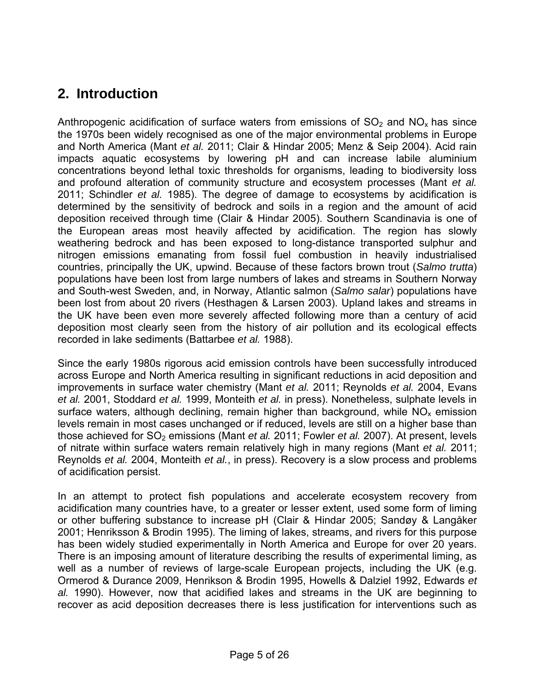# <span id="page-4-0"></span>**2. Introduction**

Anthropogenic acidification of surface waters from emissions of  $SO<sub>2</sub>$  and  $NO<sub>x</sub>$  has since the 1970s been widely recognised as one of the major environmental problems in Europe and North America (Mant *et al.* 2011; Clair & Hindar 2005; Menz & Seip 2004). Acid rain impacts aquatic ecosystems by lowering pH and can increase labile aluminium concentrations beyond lethal toxic thresholds for organisms, leading to biodiversity loss and profound alteration of community structure and ecosystem processes (Mant *et al.* 2011; Schindler *et al.* 1985). The degree of damage to ecosystems by acidification is determined by the sensitivity of bedrock and soils in a region and the amount of acid deposition received through time (Clair & Hindar 2005). Southern Scandinavia is one of the European areas most heavily affected by acidification. The region has slowly weathering bedrock and has been exposed to long-distance transported sulphur and nitrogen emissions emanating from fossil fuel combustion in heavily industrialised countries, principally the UK, upwind. Because of these factors brown trout (*Salmo trutta*) populations have been lost from large numbers of lakes and streams in Southern Norway and South-west Sweden, and, in Norway, Atlantic salmon (*Salmo salar*) populations have been lost from about 20 rivers (Hesthagen & Larsen 2003). Upland lakes and streams in the UK have been even more severely affected following more than a century of acid deposition most clearly seen from the history of air pollution and its ecological effects recorded in lake sediments (Battarbee *et al.* 1988).

Since the early 1980s rigorous acid emission controls have been successfully introduced across Europe and North America resulting in significant reductions in acid deposition and improvements in surface water chemistry (Mant *et al.* 2011; Reynolds *et al.* 2004, Evans *et al.* 2001, Stoddard *et al.* 1999, Monteith *et al.* in press). Nonetheless, sulphate levels in surface waters, although declining, remain higher than background, while  $NO<sub>x</sub>$  emission levels remain in most cases unchanged or if reduced, levels are still on a higher base than those achieved for SO<sub>2</sub> emissions (Mant *et al.* 2011; Fowler *et al.* 2007). At present, levels of nitrate within surface waters remain relatively high in many regions (Mant *et al.* 2011; Reynolds *et al.* 2004, Monteith *et al.*, in press). Recovery is a slow process and problems of acidification persist.

In an attempt to protect fish populations and accelerate ecosystem recovery from acidification many countries have, to a greater or lesser extent, used some form of liming or other buffering substance to increase pH (Clair & Hindar 2005; Sandøy & Langåker 2001; Henriksson & Brodin 1995). The liming of lakes, streams, and rivers for this purpose has been widely studied experimentally in North America and Europe for over 20 years. There is an imposing amount of literature describing the results of experimental liming, as well as a number of reviews of large-scale European projects, including the UK (e.g. Ormerod & Durance 2009, Henrikson & Brodin 1995, Howells & Dalziel 1992, Edwards *et al.* 1990). However, now that acidified lakes and streams in the UK are beginning to recover as acid deposition decreases there is less justification for interventions such as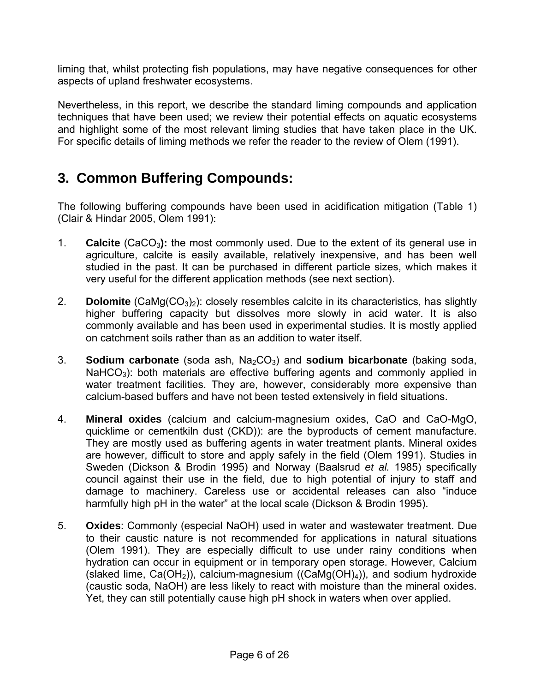<span id="page-5-0"></span>liming that, whilst protecting fish populations, may have negative consequences for other aspects of upland freshwater ecosystems.

Nevertheless, in this report, we describe the standard liming compounds and application techniques that have been used; we review their potential effects on aquatic ecosystems and highlight some of the most relevant liming studies that have taken place in the UK. For specific details of liming methods we refer the reader to the review of Olem (1991).

# **3. Common Buffering Compounds:**

The following buffering compounds have been used in acidification mitigation (Table 1) (Clair & Hindar 2005, Olem 1991):

- 1. **Calcite** (CaCO<sub>3</sub>): the most commonly used. Due to the extent of its general use in agriculture, calcite is easily available, relatively inexpensive, and has been well studied in the past. It can be purchased in different particle sizes, which makes it very useful for the different application methods (see next section).
- 2. **Dolomite** (CaMg(CO<sub>3</sub>)<sub>2</sub>): closely resembles calcite in its characteristics, has slightly higher buffering capacity but dissolves more slowly in acid water. It is also commonly available and has been used in experimental studies. It is mostly applied on catchment soils rather than as an addition to water itself.
- 3. **Sodium carbonate** (soda ash, Na2CO3) and **sodium bicarbonate** (baking soda, NaHCO<sub>3</sub>): both materials are effective buffering agents and commonly applied in water treatment facilities. They are, however, considerably more expensive than calcium-based buffers and have not been tested extensively in field situations.
- 4. **Mineral oxides** (calcium and calcium-magnesium oxides, CaO and CaO-MgO, quicklime or cementkiln dust (CKD)): are the byproducts of cement manufacture. They are mostly used as buffering agents in water treatment plants. Mineral oxides are however, difficult to store and apply safely in the field (Olem 1991). Studies in Sweden (Dickson & Brodin 1995) and Norway (Baalsrud *et al.* 1985) specifically council against their use in the field, due to high potential of injury to staff and damage to machinery. Careless use or accidental releases can also "induce harmfully high pH in the water" at the local scale (Dickson & Brodin 1995).
- 5. **Oxides**: Commonly (especial NaOH) used in water and wastewater treatment. Due to their caustic nature is not recommended for applications in natural situations (Olem 1991). They are especially difficult to use under rainy conditions when hydration can occur in equipment or in temporary open storage. However, Calcium (slaked lime,  $Ca(OH<sub>2</sub>)$ ), calcium-magnesium ((CaMg(OH)<sub>4</sub>)), and sodium hydroxide (caustic soda, NaOH) are less likely to react with moisture than the mineral oxides. Yet, they can still potentially cause high pH shock in waters when over applied.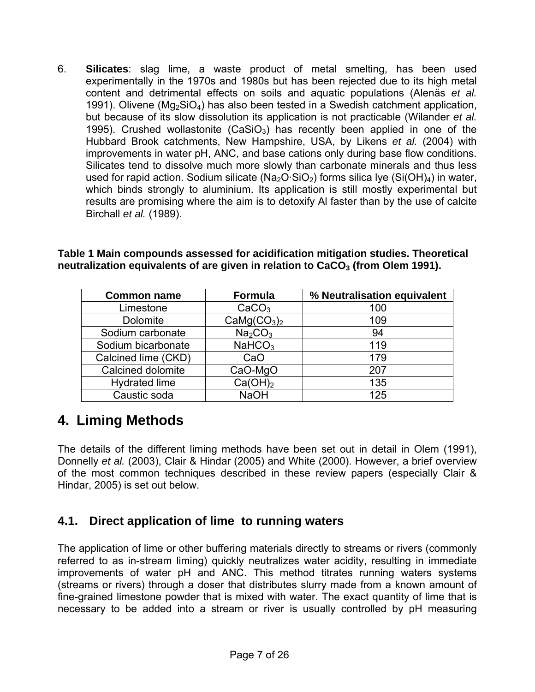<span id="page-6-0"></span>6. **Silicates**: slag lime, a waste product of metal smelting, has been used experimentally in the 1970s and 1980s but has been rejected due to its high metal content and detrimental effects on soils and aquatic populations (Alenäs *et al.* 1991). Olivene ( $Mg_2SiO_4$ ) has also been tested in a Swedish catchment application, but because of its slow dissolution its application is not practicable (Wilander *et al.* 1995). Crushed wollastonite  $(CaSiO<sub>3</sub>)$  has recently been applied in one of the Hubbard Brook catchments, New Hampshire, USA, by Likens *et al.* (2004) with improvements in water pH, ANC, and base cations only during base flow conditions. Silicates tend to dissolve much more slowly than carbonate minerals and thus less used for rapid action. Sodium silicate ( $Na<sub>2</sub>O·SiO<sub>2</sub>$ ) forms silica lye (Si(OH)<sub>4</sub>) in water, which binds strongly to aluminium. Its application is still mostly experimental but results are promising where the aim is to detoxify Al faster than by the use of calcite Birchall *et al.* (1989).

| Table 1 Main compounds assessed for acidification mitigation studies. Theoretical |
|-----------------------------------------------------------------------------------|
| neutralization equivalents of are given in relation to $CaCO3$ (from Olem 1991).  |

| <b>Common name</b>   | <b>Formula</b>                      | % Neutralisation equivalent |
|----------------------|-------------------------------------|-----------------------------|
| Limestone            | CaCO <sub>3</sub>                   | 100                         |
| <b>Dolomite</b>      | CaMg(CO <sub>3</sub> ) <sub>2</sub> | 109                         |
| Sodium carbonate     | Na <sub>2</sub> CO <sub>3</sub>     | 94                          |
| Sodium bicarbonate   | NaHCO <sub>3</sub>                  | 119                         |
| Calcined lime (CKD)  | CaO                                 | 179                         |
| Calcined dolomite    | CaO-MgO                             | 207                         |
| <b>Hydrated lime</b> | Ca(OH) <sub>2</sub>                 | 135                         |
| Caustic soda         | <b>NaOH</b>                         | 125                         |

## **4. Liming Methods**

The details of the different liming methods have been set out in detail in Olem (1991), Donnelly *et al.* (2003), Clair & Hindar (2005) and White (2000). However, a brief overview of the most common techniques described in these review papers (especially Clair & Hindar, 2005) is set out below.

### **4.1. Direct application of lime to running waters**

The application of lime or other buffering materials directly to streams or rivers (commonly referred to as in-stream liming) quickly neutralizes water acidity, resulting in immediate improvements of water pH and ANC. This method titrates running waters systems (streams or rivers) through a doser that distributes slurry made from a known amount of fine-grained limestone powder that is mixed with water. The exact quantity of lime that is necessary to be added into a stream or river is usually controlled by pH measuring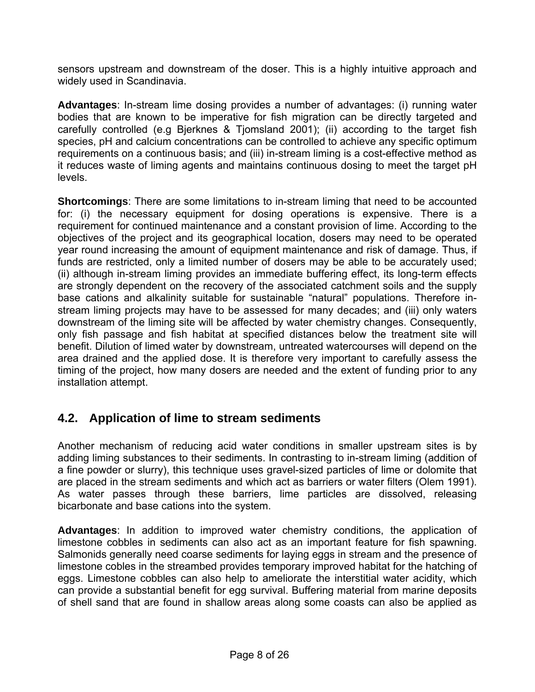<span id="page-7-0"></span>sensors upstream and downstream of the doser. This is a highly intuitive approach and widely used in Scandinavia.

**Advantages**: In-stream lime dosing provides a number of advantages: (i) running water bodies that are known to be imperative for fish migration can be directly targeted and carefully controlled (e.g Bjerknes & Tjomsland 2001); (ii) according to the target fish species, pH and calcium concentrations can be controlled to achieve any specific optimum requirements on a continuous basis; and (iii) in-stream liming is a cost-effective method as it reduces waste of liming agents and maintains continuous dosing to meet the target pH levels.

**Shortcomings**: There are some limitations to in-stream liming that need to be accounted for: (i) the necessary equipment for dosing operations is expensive. There is a requirement for continued maintenance and a constant provision of lime. According to the objectives of the project and its geographical location, dosers may need to be operated year round increasing the amount of equipment maintenance and risk of damage. Thus, if funds are restricted, only a limited number of dosers may be able to be accurately used; (ii) although in-stream liming provides an immediate buffering effect, its long-term effects are strongly dependent on the recovery of the associated catchment soils and the supply base cations and alkalinity suitable for sustainable "natural" populations. Therefore instream liming projects may have to be assessed for many decades; and (iii) only waters downstream of the liming site will be affected by water chemistry changes. Consequently, only fish passage and fish habitat at specified distances below the treatment site will benefit. Dilution of limed water by downstream, untreated watercourses will depend on the area drained and the applied dose. It is therefore very important to carefully assess the timing of the project, how many dosers are needed and the extent of funding prior to any installation attempt.

### **4.2. Application of lime to stream sediments**

Another mechanism of reducing acid water conditions in smaller upstream sites is by adding liming substances to their sediments. In contrasting to in-stream liming (addition of a fine powder or slurry), this technique uses gravel-sized particles of lime or dolomite that are placed in the stream sediments and which act as barriers or water filters (Olem 1991). As water passes through these barriers, lime particles are dissolved, releasing bicarbonate and base cations into the system.

**Advantages**: In addition to improved water chemistry conditions, the application of limestone cobbles in sediments can also act as an important feature for fish spawning. Salmonids generally need coarse sediments for laying eggs in stream and the presence of limestone cobles in the streambed provides temporary improved habitat for the hatching of eggs. Limestone cobbles can also help to ameliorate the interstitial water acidity, which can provide a substantial benefit for egg survival. Buffering material from marine deposits of shell sand that are found in shallow areas along some coasts can also be applied as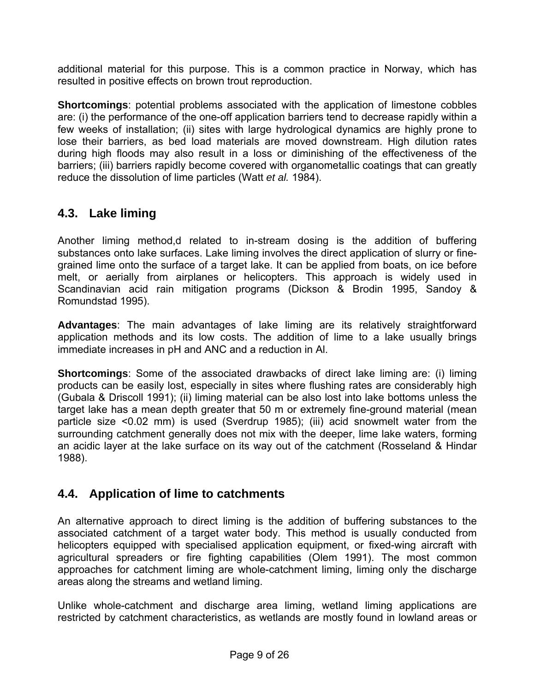<span id="page-8-0"></span>additional material for this purpose. This is a common practice in Norway, which has resulted in positive effects on brown trout reproduction.

**Shortcomings**: potential problems associated with the application of limestone cobbles are: (i) the performance of the one-off application barriers tend to decrease rapidly within a few weeks of installation; (ii) sites with large hydrological dynamics are highly prone to lose their barriers, as bed load materials are moved downstream. High dilution rates during high floods may also result in a loss or diminishing of the effectiveness of the barriers; (iii) barriers rapidly become covered with organometallic coatings that can greatly reduce the dissolution of lime particles (Watt *et al.* 1984).

### **4.3. Lake liming**

Another liming method,d related to in-stream dosing is the addition of buffering substances onto lake surfaces. Lake liming involves the direct application of slurry or finegrained lime onto the surface of a target lake. It can be applied from boats, on ice before melt, or aerially from airplanes or helicopters. This approach is widely used in Scandinavian acid rain mitigation programs (Dickson & Brodin 1995, Sandoy & Romundstad 1995).

**Advantages**: The main advantages of lake liming are its relatively straightforward application methods and its low costs. The addition of lime to a lake usually brings immediate increases in pH and ANC and a reduction in Al.

**Shortcomings**: Some of the associated drawbacks of direct lake liming are: (i) liming products can be easily lost, especially in sites where flushing rates are considerably high (Gubala & Driscoll 1991); (ii) liming material can be also lost into lake bottoms unless the target lake has a mean depth greater that 50 m or extremely fine-ground material (mean particle size <0.02 mm) is used (Sverdrup 1985); (iii) acid snowmelt water from the surrounding catchment generally does not mix with the deeper, lime lake waters, forming an acidic layer at the lake surface on its way out of the catchment (Rosseland & Hindar 1988).

### **4.4. Application of lime to catchments**

An alternative approach to direct liming is the addition of buffering substances to the associated catchment of a target water body. This method is usually conducted from helicopters equipped with specialised application equipment, or fixed-wing aircraft with agricultural spreaders or fire fighting capabilities (Olem 1991). The most common approaches for catchment liming are whole-catchment liming, liming only the discharge areas along the streams and wetland liming.

Unlike whole-catchment and discharge area liming, wetland liming applications are restricted by catchment characteristics, as wetlands are mostly found in lowland areas or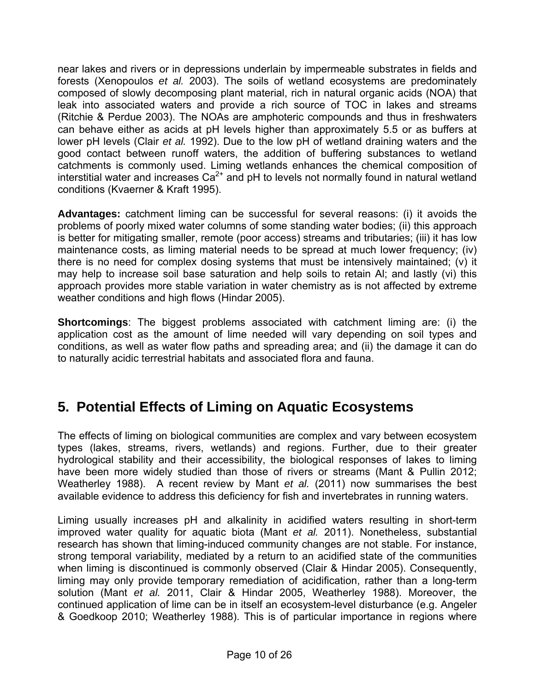<span id="page-9-0"></span>near lakes and rivers or in depressions underlain by impermeable substrates in fields and forests (Xenopoulos *et al.* 2003). The soils of wetland ecosystems are predominately composed of slowly decomposing plant material, rich in natural organic acids (NOA) that leak into associated waters and provide a rich source of TOC in lakes and streams (Ritchie & Perdue 2003). The NOAs are amphoteric compounds and thus in freshwaters can behave either as acids at pH levels higher than approximately 5.5 or as buffers at lower pH levels (Clair *et al.* 1992). Due to the low pH of wetland draining waters and the good contact between runoff waters, the addition of buffering substances to wetland catchments is commonly used. Liming wetlands enhances the chemical composition of interstitial water and increases  $Ca<sup>2+</sup>$  and pH to levels not normally found in natural wetland conditions (Kvaerner & Kraft 1995).

**Advantages:** catchment liming can be successful for several reasons: (i) it avoids the problems of poorly mixed water columns of some standing water bodies; (ii) this approach is better for mitigating smaller, remote (poor access) streams and tributaries; (iii) it has low maintenance costs, as liming material needs to be spread at much lower frequency; (iv) there is no need for complex dosing systems that must be intensively maintained; (v) it may help to increase soil base saturation and help soils to retain Al; and lastly (vi) this approach provides more stable variation in water chemistry as is not affected by extreme weather conditions and high flows (Hindar 2005).

**Shortcomings**: The biggest problems associated with catchment liming are: (i) the application cost as the amount of lime needed will vary depending on soil types and conditions, as well as water flow paths and spreading area; and (ii) the damage it can do to naturally acidic terrestrial habitats and associated flora and fauna.

# **5. Potential Effects of Liming on Aquatic Ecosystems**

The effects of liming on biological communities are complex and vary between ecosystem types (lakes, streams, rivers, wetlands) and regions. Further, due to their greater hydrological stability and their accessibility, the biological responses of lakes to liming have been more widely studied than those of rivers or streams (Mant & Pullin 2012; Weatherley 1988). A recent review by Mant *et al.* (2011) now summarises the best available evidence to address this deficiency for fish and invertebrates in running waters.

Liming usually increases pH and alkalinity in acidified waters resulting in short-term improved water quality for aquatic biota (Mant *et al.* 2011). Nonetheless, substantial research has shown that liming-induced community changes are not stable. For instance, strong temporal variability, mediated by a return to an acidified state of the communities when liming is discontinued is commonly observed (Clair & Hindar 2005). Consequently, liming may only provide temporary remediation of acidification, rather than a long-term solution (Mant *et al.* 2011, Clair & Hindar 2005, Weatherley 1988). Moreover, the continued application of lime can be in itself an ecosystem-level disturbance (e.g. Angeler & Goedkoop 2010; Weatherley 1988). This is of particular importance in regions where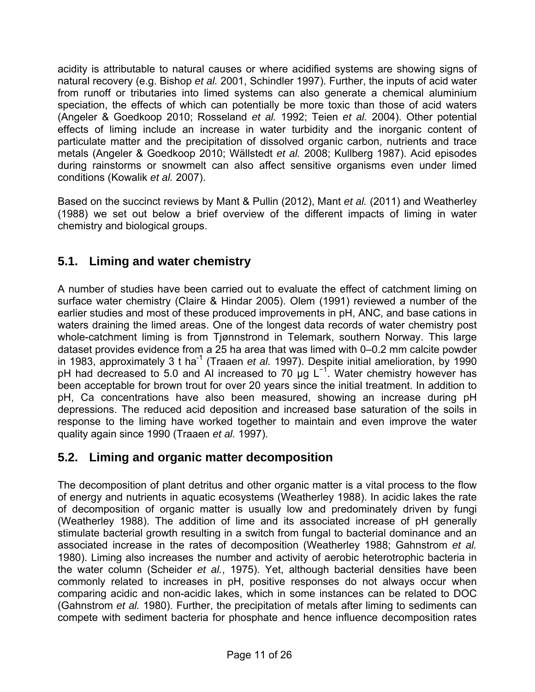<span id="page-10-0"></span>acidity is attributable to natural causes or where acidified systems are showing signs of natural recovery (e.g. Bishop *et al.* 2001, Schindler 1997). Further, the inputs of acid water from runoff or tributaries into limed systems can also generate a chemical aluminium speciation, the effects of which can potentially be more toxic than those of acid waters (Angeler & Goedkoop 2010; Rosseland *et al.* 1992; Teien *et al.* 2004). Other potential effects of liming include an increase in water turbidity and the inorganic content of particulate matter and the precipitation of dissolved organic carbon, nutrients and trace metals (Angeler & Goedkoop 2010; Wällstedt *et al.* 2008; Kullberg 1987). Acid episodes during rainstorms or snowmelt can also affect sensitive organisms even under limed conditions (Kowalik *et al.* 2007).

Based on the succinct reviews by Mant & Pullin (2012), Mant *et al.* (2011) and Weatherley (1988) we set out below a brief overview of the different impacts of liming in water chemistry and biological groups.

### **5.1. Liming and water chemistry**

A number of studies have been carried out to evaluate the effect of catchment liming on surface water chemistry (Claire & Hindar 2005). Olem (1991) reviewed a number of the earlier studies and most of these produced improvements in pH, ANC, and base cations in waters draining the limed areas. One of the longest data records of water chemistry post whole-catchment liming is from Tjønnstrond in Telemark, southern Norway. This large dataset provides evidence from a 25 ha area that was limed with 0–0.2 mm calcite powder in 1983, approximately 3 t ha<sup>-1</sup> (Traaen *et al.* 1997). Despite initial amelioration, by 1990 pH had decreased to 5.0 and AI increased to 70  $\mu$ g L<sup>-1</sup>. Water chemistry however has been acceptable for brown trout for over 20 years since the initial treatment. In addition to pH, Ca concentrations have also been measured, showing an increase during pH depressions. The reduced acid deposition and increased base saturation of the soils in response to the liming have worked together to maintain and even improve the water quality again since 1990 (Traaen *et al.* 1997).

### **5.2. Liming and organic matter decomposition**

The decomposition of plant detritus and other organic matter is a vital process to the flow of energy and nutrients in aquatic ecosystems (Weatherley 1988). In acidic lakes the rate of decomposition of organic matter is usually low and predominately driven by fungi (Weatherley 1988). The addition of lime and its associated increase of pH generally stimulate bacterial growth resulting in a switch from fungal to bacterial dominance and an associated increase in the rates of decomposition (Weatherley 1988; Gahnstrom *et al.* 1980). Liming also increases the number and activity of aerobic heterotrophic bacteria in the water column (Scheider *et al.*, 1975). Yet, although bacterial densities have been commonly related to increases in pH, positive responses do not always occur when comparing acidic and non-acidic lakes, which in some instances can be related to DOC (Gahnstrom *et al.* 1980). Further, the precipitation of metals after liming to sediments can compete with sediment bacteria for phosphate and hence influence decomposition rates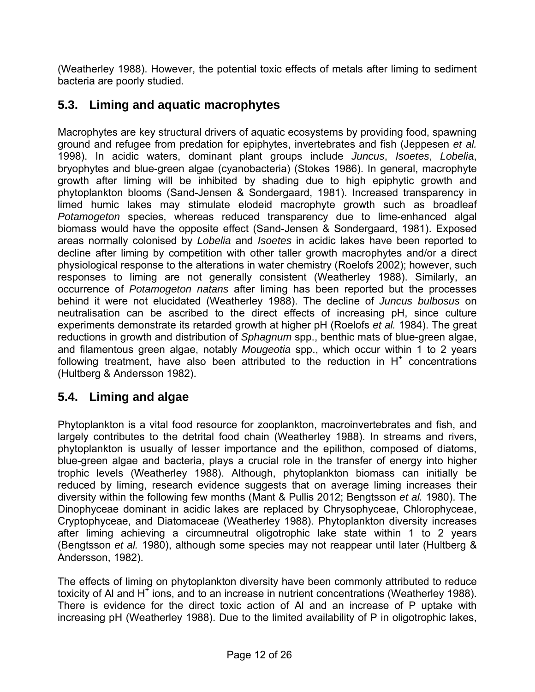<span id="page-11-0"></span>(Weatherley 1988). However, the potential toxic effects of metals after liming to sediment bacteria are poorly studied.

### **5.3. Liming and aquatic macrophytes**

Macrophytes are key structural drivers of aquatic ecosystems by providing food, spawning ground and refugee from predation for epiphytes, invertebrates and fish (Jeppesen *et al.* 1998). In acidic waters, dominant plant groups include *Juncus*, *Isoetes*, *Lobelia*, bryophytes and blue-green algae (cyanobacteria) (Stokes 1986). In general, macrophyte growth after liming will be inhibited by shading due to high epiphytic growth and phytoplankton blooms (Sand-Jensen & Sondergaard, 1981). Increased transparency in limed humic lakes may stimulate elodeid macrophyte growth such as broadleaf *Potamogeton* species, whereas reduced transparency due to lime-enhanced algal biomass would have the opposite effect (Sand-Jensen & Sondergaard, 1981). Exposed areas normally colonised by *Lobelia* and *Isoetes* in acidic lakes have been reported to decline after liming by competition with other taller growth macrophytes and/or a direct physiological response to the alterations in water chemistry (Roelofs 2002); however, such responses to liming are not generally consistent (Weatherley 1988). Similarly, an occurrence of *Potamogeton natans* after liming has been reported but the processes behind it were not elucidated (Weatherley 1988). The decline of *Juncus bulbosus* on neutralisation can be ascribed to the direct effects of increasing pH, since culture experiments demonstrate its retarded growth at higher pH (Roelofs *et al.* 1984). The great reductions in growth and distribution of *Sphagnum* spp., benthic mats of blue-green algae, and filamentous green algae, notably *Mougeotia* spp., which occur within 1 to 2 years following treatment, have also been attributed to the reduction in  $H^+$  concentrations (Hultberg & Andersson 1982).

### **5.4. Liming and algae**

Phytoplankton is a vital food resource for zooplankton, macroinvertebrates and fish, and largely contributes to the detrital food chain (Weatherley 1988). In streams and rivers, phytoplankton is usually of lesser importance and the epilithon, composed of diatoms, blue-green algae and bacteria, plays a crucial role in the transfer of energy into higher trophic levels (Weatherley 1988). Although, phytoplankton biomass can initially be reduced by liming, research evidence suggests that on average liming increases their diversity within the following few months (Mant & Pullis 2012; Bengtsson *et al.* 1980). The Dinophyceae dominant in acidic lakes are replaced by Chrysophyceae, Chlorophyceae, Cryptophyceae, and Diatomaceae (Weatherley 1988). Phytoplankton diversity increases after liming achieving a circumneutral oligotrophic lake state within 1 to 2 years (Bengtsson *et al.* 1980), although some species may not reappear until later (Hultberg & Andersson, 1982).

The effects of liming on phytoplankton diversity have been commonly attributed to reduce toxicity of AI and H<sup>+</sup> ions, and to an increase in nutrient concentrations (Weatherley 1988). There is evidence for the direct toxic action of Al and an increase of P uptake with increasing pH (Weatherley 1988). Due to the limited availability of P in oligotrophic lakes,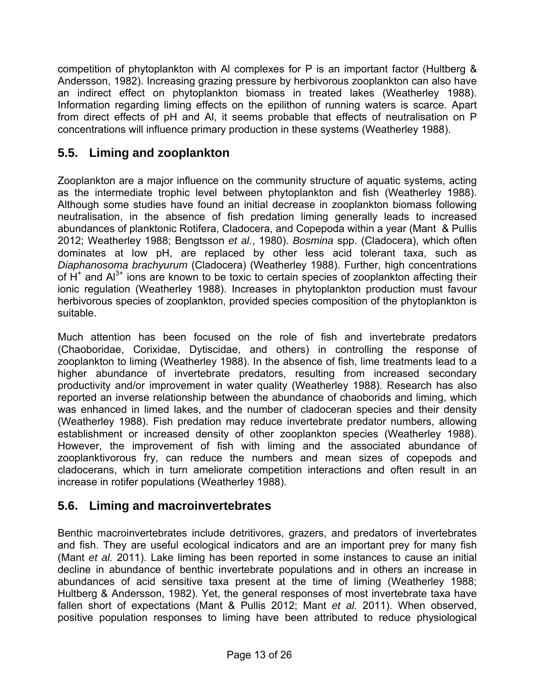<span id="page-12-0"></span>competition of phytoplankton with Al complexes for P is an important factor (Hultberg & Andersson, 1982). Increasing grazing pressure by herbivorous zooplankton can also have an indirect effect on phytoplankton biomass in treated lakes (Weatherley 1988). Information regarding liming effects on the epilithon of running waters is scarce. Apart from direct effects of pH and Al, it seems probable that effects of neutralisation on P concentrations will influence primary production in these systems (Weatherley 1988).

### **5.5. Liming and zooplankton**

Zooplankton are a major influence on the community structure of aquatic systems, acting as the intermediate trophic level between phytoplankton and fish (Weatherley 1988). Although some studies have found an initial decrease in zooplankton biomass following neutralisation, in the absence of fish predation liming generally leads to increased abundances of planktonic Rotifera, Cladocera, and Copepoda within a year (Mant & Pullis 2012; Weatherley 1988; Bengtsson *et al.*, 1980). *Bosmina* spp. (Cladocera), which often dominates at low pH, are replaced by other less acid tolerant taxa, such as *Diaphanosoma brachyurum* (Cladocera) (Weatherley 1988). Further, high concentrations of  $H^+$  and  $Al^{3+}$  ions are known to be toxic to certain species of zooplankton affecting their ionic regulation (Weatherley 1988). Increases in phytoplankton production must favour herbivorous species of zooplankton, provided species composition of the phytoplankton is suitable.

Much attention has been focused on the role of fish and invertebrate predators (Chaoboridae, Corixidae, Dytiscidae, and others) in controlling the response of zooplankton to liming (Weatherley 1988). In the absence of fish, lime treatments lead to a higher abundance of invertebrate predators, resulting from increased secondary productivity and/or improvement in water quality (Weatherley 1988). Research has also reported an inverse relationship between the abundance of chaoborids and liming, which was enhanced in limed lakes, and the number of cladoceran species and their density (Weatherley 1988). Fish predation may reduce invertebrate predator numbers, allowing establishment or increased density of other zooplankton species (Weatherley 1988). However, the improvement of fish with liming and the associated abundance of zooplanktivorous fry, can reduce the numbers and mean sizes of copepods and cladocerans, which in turn ameliorate competition interactions and often result in an increase in rotifer populations (Weatherley 1988).

### **5.6. Liming and macroinvertebrates**

Benthic macroinvertebrates include detritivores, grazers, and predators of invertebrates and fish. They are useful ecological indicators and are an important prey for many fish (Mant *et al.* 2011). Lake liming has been reported in some instances to cause an initial decline in abundance of benthic invertebrate populations and in others an increase in abundances of acid sensitive taxa present at the time of liming (Weatherley 1988; Hultberg & Andersson, 1982). Yet, the general responses of most invertebrate taxa have fallen short of expectations (Mant & Pullis 2012; Mant *et al.* 2011). When observed, positive population responses to liming have been attributed to reduce physiological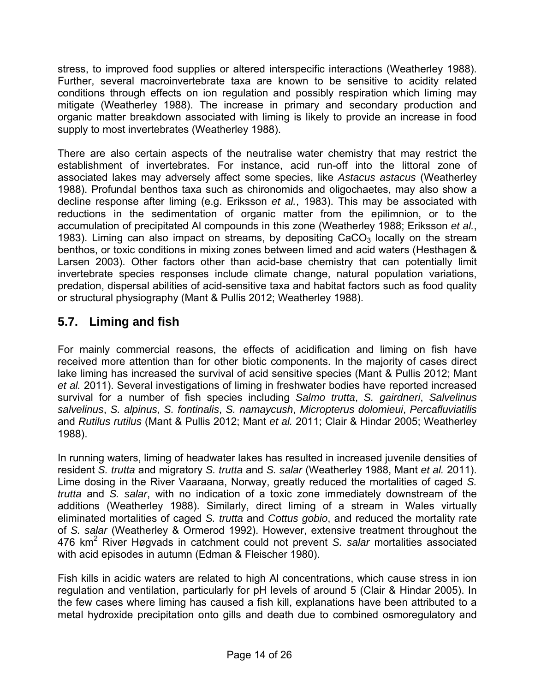<span id="page-13-0"></span>stress, to improved food supplies or altered interspecific interactions (Weatherley 1988). Further, several macroinvertebrate taxa are known to be sensitive to acidity related conditions through effects on ion regulation and possibly respiration which liming may mitigate (Weatherley 1988). The increase in primary and secondary production and organic matter breakdown associated with liming is likely to provide an increase in food supply to most invertebrates (Weatherley 1988).

There are also certain aspects of the neutralise water chemistry that may restrict the establishment of invertebrates. For instance, acid run-off into the littoral zone of associated lakes may adversely affect some species, like *Astacus astacus* (Weatherley 1988). Profundal benthos taxa such as chironomids and oligochaetes, may also show a decline response after liming (e.g. Eriksson *et al.*, 1983). This may be associated with reductions in the sedimentation of organic matter from the epilimnion, or to the accumulation of precipitated Al compounds in this zone (Weatherley 1988; Eriksson *et al.*, 1983). Liming can also impact on streams, by depositing  $CaCO<sub>3</sub>$  locally on the stream benthos, or toxic conditions in mixing zones between limed and acid waters (Hesthagen & Larsen 2003). Other factors other than acid-base chemistry that can potentially limit invertebrate species responses include climate change, natural population variations, predation, dispersal abilities of acid-sensitive taxa and habitat factors such as food quality or structural physiography (Mant & Pullis 2012; Weatherley 1988).

### **5.7. Liming and fish**

For mainly commercial reasons, the effects of acidification and liming on fish have received more attention than for other biotic components. In the majority of cases direct lake liming has increased the survival of acid sensitive species (Mant & Pullis 2012; Mant *et al.* 2011). Several investigations of liming in freshwater bodies have reported increased survival for a number of fish species including *Salmo trutta*, *S. gairdneri*, *Salvelinus salvelinus*, *S. alpinus, S. fontinalis*, *S. namaycush*, *Micropterus dolomieui*, *Percafluviatilis* and *Rutilus rutilus* (Mant & Pullis 2012; Mant *et al.* 2011; Clair & Hindar 2005; Weatherley 1988).

In running waters, liming of headwater lakes has resulted in increased juvenile densities of resident *S. trutta* and migratory *S. trutta* and *S. salar* (Weatherley 1988, Mant *et al.* 2011). Lime dosing in the River Vaaraana, Norway, greatly reduced the mortalities of caged *S. trutta* and *S. salar*, with no indication of a toxic zone immediately downstream of the additions (Weatherley 1988). Similarly, direct liming of a stream in Wales virtually eliminated mortalities of caged *S. trutta* and *Cottus gobio*, and reduced the mortality rate of *S. salar* (Weatherley & Ormerod 1992). However, extensive treatment throughout the 476 km<sup>2</sup> River Høgvads in catchment could not prevent *S. salar* mortalities associated with acid episodes in autumn (Edman & Fleischer 1980).

Fish kills in acidic waters are related to high Al concentrations, which cause stress in ion regulation and ventilation, particularly for pH levels of around 5 (Clair & Hindar 2005). In the few cases where liming has caused a fish kill, explanations have been attributed to a metal hydroxide precipitation onto gills and death due to combined osmoregulatory and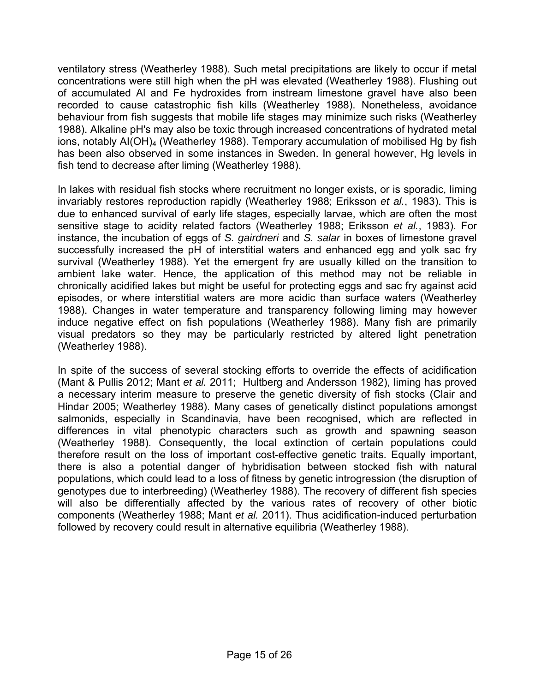ventilatory stress (Weatherley 1988). Such metal precipitations are likely to occur if metal concentrations were still high when the pH was elevated (Weatherley 1988). Flushing out of accumulated Al and Fe hydroxides from instream limestone gravel have also been recorded to cause catastrophic fish kills (Weatherley 1988). Nonetheless, avoidance behaviour from fish suggests that mobile life stages may minimize such risks (Weatherley 1988). Alkaline pH's may also be toxic through increased concentrations of hydrated metal ions, notably AI(OH)<sub>4</sub> (Weatherley 1988). Temporary accumulation of mobilised Hg by fish has been also observed in some instances in Sweden. In general however, Hg levels in fish tend to decrease after liming (Weatherley 1988).

In lakes with residual fish stocks where recruitment no longer exists, or is sporadic, liming invariably restores reproduction rapidly (Weatherley 1988; Eriksson *et al.*, 1983). This is due to enhanced survival of early life stages, especially larvae, which are often the most sensitive stage to acidity related factors (Weatherley 1988; Eriksson *et al.*, 1983). For instance, the incubation of eggs of *S. gairdneri* and *S. salar* in boxes of limestone gravel successfully increased the pH of interstitial waters and enhanced egg and yolk sac fry survival (Weatherley 1988). Yet the emergent fry are usually killed on the transition to ambient lake water. Hence, the application of this method may not be reliable in chronically acidified lakes but might be useful for protecting eggs and sac fry against acid episodes, or where interstitial waters are more acidic than surface waters (Weatherley 1988). Changes in water temperature and transparency following liming may however induce negative effect on fish populations (Weatherley 1988). Many fish are primarily visual predators so they may be particularly restricted by altered light penetration (Weatherley 1988).

In spite of the success of several stocking efforts to override the effects of acidification (Mant & Pullis 2012; Mant *et al.* 2011; Hultberg and Andersson 1982), liming has proved a necessary interim measure to preserve the genetic diversity of fish stocks (Clair and Hindar 2005; Weatherley 1988). Many cases of genetically distinct populations amongst salmonids, especially in Scandinavia, have been recognised, which are reflected in differences in vital phenotypic characters such as growth and spawning season (Weatherley 1988). Consequently, the local extinction of certain populations could therefore result on the loss of important cost-effective genetic traits. Equally important, there is also a potential danger of hybridisation between stocked fish with natural populations, which could lead to a loss of fitness by genetic introgression (the disruption of genotypes due to interbreeding) (Weatherley 1988). The recovery of different fish species will also be differentially affected by the various rates of recovery of other biotic components (Weatherley 1988; Mant *et al.* 2011). Thus acidification-induced perturbation followed by recovery could result in alternative equilibria (Weatherley 1988).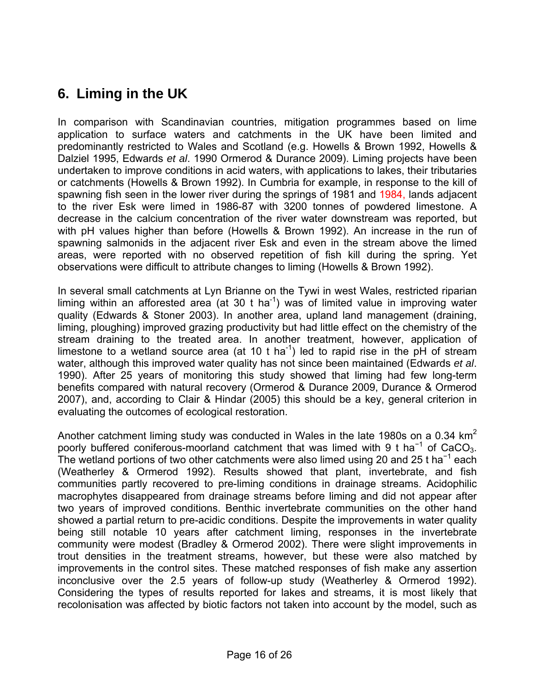# <span id="page-15-0"></span>**6. Liming in the UK**

In comparison with Scandinavian countries, mitigation programmes based on lime application to surface waters and catchments in the UK have been limited and predominantly restricted to Wales and Scotland (e.g. Howells & Brown 1992, Howells & Dalziel 1995, Edwards *et al*. 1990 Ormerod & Durance 2009). Liming projects have been undertaken to improve conditions in acid waters, with applications to lakes, their tributaries or catchments (Howells & Brown 1992). In Cumbria for example, in response to the kill of spawning fish seen in the lower river during the springs of 1981 and 1984, lands adjacent to the river Esk were limed in 1986-87 with 3200 tonnes of powdered limestone. A decrease in the calcium concentration of the river water downstream was reported, but with pH values higher than before (Howells & Brown 1992). An increase in the run of spawning salmonids in the adjacent river Esk and even in the stream above the limed areas, were reported with no observed repetition of fish kill during the spring. Yet observations were difficult to attribute changes to liming (Howells & Brown 1992).

In several small catchments at Lyn Brianne on the Tywi in west Wales, restricted riparian liming within an afforested area (at 30 t ha<sup>-1</sup>) was of limited value in improving water quality (Edwards & Stoner 2003). In another area, upland land management (draining, liming, ploughing) improved grazing productivity but had little effect on the chemistry of the stream draining to the treated area. In another treatment, however, application of limestone to a wetland source area (at 10 t ha<sup>-1</sup>) led to rapid rise in the pH of stream water, although this improved water quality has not since been maintained (Edwards *et al*. 1990). After 25 years of monitoring this study showed that liming had few long-term benefits compared with natural recovery (Ormerod & Durance 2009, Durance & Ormerod 2007), and, according to Clair & Hindar (2005) this should be a key, general criterion in evaluating the outcomes of ecological restoration.

Another catchment liming study was conducted in Wales in the late 1980s on a 0.34  $km<sup>2</sup>$ poorly buffered coniferous-moorland catchment that was limed with 9 t ha<sup>-1</sup> of CaCO<sub>3</sub>. The wetland portions of two other catchments were also limed using 20 and 25 t ha<sup>-1</sup> each (Weatherley & Ormerod 1992). Results showed that plant, invertebrate, and fish communities partly recovered to pre-liming conditions in drainage streams. Acidophilic macrophytes disappeared from drainage streams before liming and did not appear after two years of improved conditions. Benthic invertebrate communities on the other hand showed a partial return to pre-acidic conditions. Despite the improvements in water quality being still notable 10 years after catchment liming, responses in the invertebrate community were modest (Bradley & Ormerod 2002). There were slight improvements in trout densities in the treatment streams, however, but these were also matched by improvements in the control sites. These matched responses of fish make any assertion inconclusive over the 2.5 years of follow-up study (Weatherley & Ormerod 1992). Considering the types of results reported for lakes and streams, it is most likely that recolonisation was affected by biotic factors not taken into account by the model, such as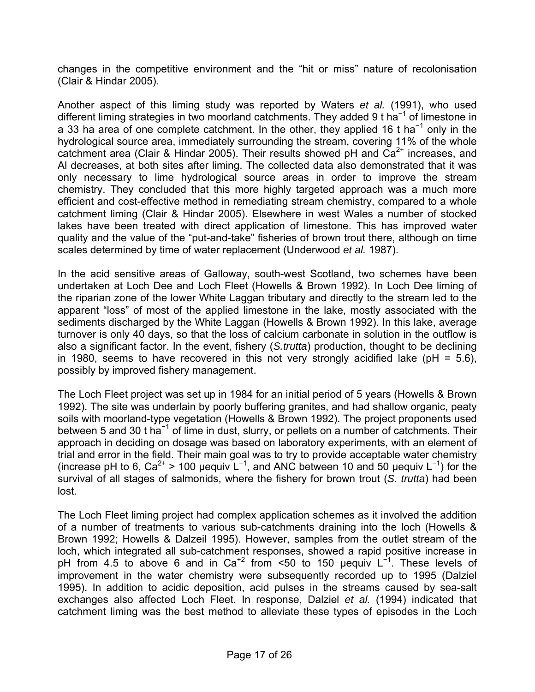changes in the competitive environment and the "hit or miss" nature of recolonisation (Clair & Hindar 2005).

Another aspect of this liming study was reported by Waters *et al.* (1991), who used different liming strategies in two moorland catchments. They added 9 t ha<sup>-1</sup> of limestone in a 33 ha area of one complete catchment. In the other, they applied 16 t ha<sup>-1</sup> only in the hydrological source area, immediately surrounding the stream, covering 11% of the whole catchment area (Clair & Hindar 2005). Their results showed pH and  $\text{Ca}^{2+}$  increases, and Al decreases, at both sites after liming. The collected data also demonstrated that it was only necessary to lime hydrological source areas in order to improve the stream chemistry. They concluded that this more highly targeted approach was a much more efficient and cost-effective method in remediating stream chemistry, compared to a whole catchment liming (Clair & Hindar 2005). Elsewhere in west Wales a number of stocked lakes have been treated with direct application of limestone. This has improved water quality and the value of the "put-and-take" fisheries of brown trout there, although on time scales determined by time of water replacement (Underwood *et al.* 1987).

In the acid sensitive areas of Galloway, south-west Scotland, two schemes have been undertaken at Loch Dee and Loch Fleet (Howells & Brown 1992). In Loch Dee liming of the riparian zone of the lower White Laggan tributary and directly to the stream led to the apparent "loss" of most of the applied limestone in the lake, mostly associated with the sediments discharged by the White Laggan (Howells & Brown 1992). In this lake, average turnover is only 40 days, so that the loss of calcium carbonate in solution in the outflow is also a significant factor. In the event, fishery (*S.trutta*) production, thought to be declining in 1980, seems to have recovered in this not very strongly acidified lake ( $pH = 5.6$ ), possibly by improved fishery management.

The Loch Fleet project was set up in 1984 for an initial period of 5 years (Howells & Brown 1992). The site was underlain by poorly buffering granites, and had shallow organic, peaty soils with moorland-type vegetation (Howells & Brown 1992). The project proponents used between 5 and 30 t ha<sup>-1</sup> of lime in dust, slurry, or pellets on a number of catchments. Their approach in deciding on dosage was based on laboratory experiments, with an element of trial and error in the field. Their main goal was to try to provide acceptable water chemistry (increase pH to 6, Ca<sup>2+</sup> > 100 µequiv L<sup>-1</sup>, and ANC between 10 and 50 µequiv L<sup>-1</sup>) for the survival of all stages of salmonids, where the fishery for brown trout (*S. trutta*) had been lost.

The Loch Fleet liming project had complex application schemes as it involved the addition of a number of treatments to various sub-catchments draining into the loch (Howells & Brown 1992; Howells & Dalzeil 1995). However, samples from the outlet stream of the loch, which integrated all sub-catchment responses, showed a rapid positive increase in pH from 4.5 to above 6 and in Ca<sup>+2</sup> from <50 to 150 µequiv L<sup>-1</sup>. These levels of improvement in the water chemistry were subsequently recorded up to 1995 (Dalziel 1995). In addition to acidic deposition, acid pulses in the streams caused by sea-salt exchanges also affected Loch Fleet. In response, Dalziel *et al.* (1994) indicated that catchment liming was the best method to alleviate these types of episodes in the Loch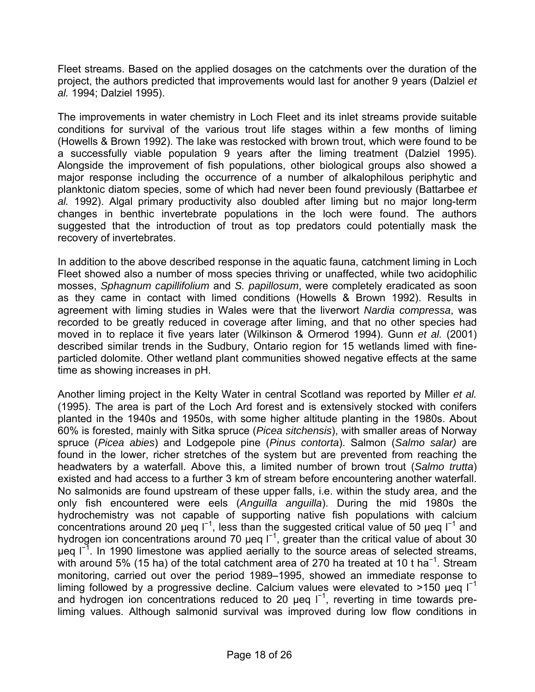Fleet streams. Based on the applied dosages on the catchments over the duration of the project, the authors predicted that improvements would last for another 9 years (Dalziel *et al.* 1994; Dalziel 1995).

The improvements in water chemistry in Loch Fleet and its inlet streams provide suitable conditions for survival of the various trout life stages within a few months of liming (Howells & Brown 1992). The lake was restocked with brown trout, which were found to be a successfully viable population 9 years after the liming treatment (Dalziel 1995). Alongside the improvement of fish populations, other biological groups also showed a major response including the occurrence of a number of alkalophilous periphytic and planktonic diatom species, some of which had never been found previously (Battarbee *et al.* 1992). Algal primary productivity also doubled after liming but no major long-term changes in benthic invertebrate populations in the loch were found. The authors suggested that the introduction of trout as top predators could potentially mask the recovery of invertebrates.

In addition to the above described response in the aquatic fauna, catchment liming in Loch Fleet showed also a number of moss species thriving or unaffected, while two acidophilic mosses, *Sphagnum capillifolium* and *S. papillosum*, were completely eradicated as soon as they came in contact with limed conditions (Howells & Brown 1992). Results in agreement with liming studies in Wales were that the liverwort *Nardia compressa*, was recorded to be greatly reduced in coverage after liming, and that no other species had moved in to replace it five years later (Wilkinson & Ormerod 1994). Gunn *et al.* (2001) described similar trends in the Sudbury, Ontario region for 15 wetlands limed with fineparticled dolomite. Other wetland plant communities showed negative effects at the same time as showing increases in pH.

Another liming project in the Kelty Water in central Scotland was reported by Miller *et al.* (1995). The area is part of the Loch Ard forest and is extensively stocked with conifers planted in the 1940s and 1950s, with some higher altitude planting in the 1980s. About 60% is forested, mainly with Sitka spruce (*Picea sitchensis*), with smaller areas of Norway spruce (*Picea abies*) and Lodgepole pine (*Pinus contorta*). Salmon (*Salmo salar)* are found in the lower, richer stretches of the system but are prevented from reaching the headwaters by a waterfall. Above this, a limited number of brown trout (*Salmo trutta*) existed and had access to a further 3 km of stream before encountering another waterfall. No salmonids are found upstream of these upper falls, i.e. within the study area, and the only fish encountered were eels (*Anguilla anguilla*). During the mid 1980s the hydrochemistry was not capable of supporting native fish populations with calcium concentrations around 20 µeq  $\mathsf{I}^{-1}$ , less than the suggested critical value of 50 µeq  $\mathsf{I}^{-1}$  and hydrogen ion concentrations around 70 µeq I<sup>-1</sup>, greater than the critical value of about 30 µeq I<sup>-1</sup>. In 1990 limestone was applied aerially to the source areas of selected streams, with around 5% (15 ha) of the total catchment area of 270 ha treated at 10 t ha<sup>-1</sup>. Stream monitoring, carried out over the period 1989–1995, showed an immediate response to liming followed by a progressive decline. Calcium values were elevated to >150 µeg  $I^{-1}$ and hydrogen ion concentrations reduced to 20 µeq l<sup>-1</sup>, reverting in time towards preliming values. Although salmonid survival was improved during low flow conditions in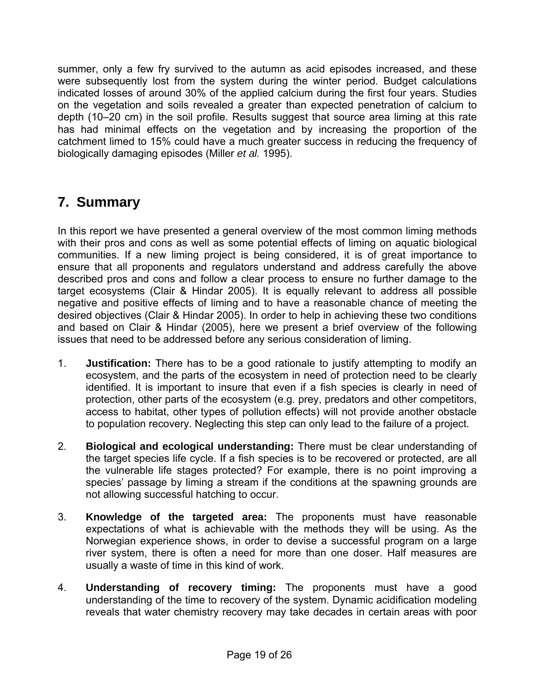<span id="page-18-0"></span>summer, only a few fry survived to the autumn as acid episodes increased, and these were subsequently lost from the system during the winter period. Budget calculations indicated losses of around 30% of the applied calcium during the first four years. Studies on the vegetation and soils revealed a greater than expected penetration of calcium to depth (10–20 cm) in the soil profile. Results suggest that source area liming at this rate has had minimal effects on the vegetation and by increasing the proportion of the catchment limed to 15% could have a much greater success in reducing the frequency of biologically damaging episodes (Miller *et al.* 1995).

# **7. Summary**

In this report we have presented a general overview of the most common liming methods with their pros and cons as well as some potential effects of liming on aquatic biological communities. If a new liming project is being considered, it is of great importance to ensure that all proponents and regulators understand and address carefully the above described pros and cons and follow a clear process to ensure no further damage to the target ecosystems (Clair & Hindar 2005). It is equally relevant to address all possible negative and positive effects of liming and to have a reasonable chance of meeting the desired objectives (Clair & Hindar 2005). In order to help in achieving these two conditions and based on Clair & Hindar (2005), here we present a brief overview of the following issues that need to be addressed before any serious consideration of liming.

- 1. **Justification:** There has to be a good rationale to justify attempting to modify an ecosystem, and the parts of the ecosystem in need of protection need to be clearly identified. It is important to insure that even if a fish species is clearly in need of protection, other parts of the ecosystem (e.g. prey, predators and other competitors, access to habitat, other types of pollution effects) will not provide another obstacle to population recovery. Neglecting this step can only lead to the failure of a project.
- 2. **Biological and ecological understanding:** There must be clear understanding of the target species life cycle. If a fish species is to be recovered or protected, are all the vulnerable life stages protected? For example, there is no point improving a species' passage by liming a stream if the conditions at the spawning grounds are not allowing successful hatching to occur.
- 3. **Knowledge of the targeted area:** The proponents must have reasonable expectations of what is achievable with the methods they will be using. As the Norwegian experience shows, in order to devise a successful program on a large river system, there is often a need for more than one doser. Half measures are usually a waste of time in this kind of work.
- 4. **Understanding of recovery timing:** The proponents must have a good understanding of the time to recovery of the system. Dynamic acidification modeling reveals that water chemistry recovery may take decades in certain areas with poor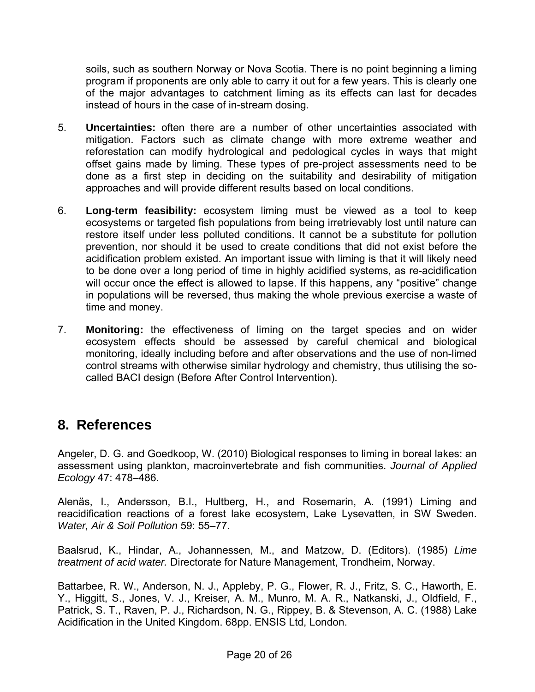<span id="page-19-0"></span>soils, such as southern Norway or Nova Scotia. There is no point beginning a liming program if proponents are only able to carry it out for a few years. This is clearly one of the major advantages to catchment liming as its effects can last for decades instead of hours in the case of in-stream dosing.

- 5. **Uncertainties:** often there are a number of other uncertainties associated with mitigation. Factors such as climate change with more extreme weather and reforestation can modify hydrological and pedological cycles in ways that might offset gains made by liming. These types of pre-project assessments need to be done as a first step in deciding on the suitability and desirability of mitigation approaches and will provide different results based on local conditions.
- 6. **Long-term feasibility:** ecosystem liming must be viewed as a tool to keep ecosystems or targeted fish populations from being irretrievably lost until nature can restore itself under less polluted conditions. It cannot be a substitute for pollution prevention, nor should it be used to create conditions that did not exist before the acidification problem existed. An important issue with liming is that it will likely need to be done over a long period of time in highly acidified systems, as re-acidification will occur once the effect is allowed to lapse. If this happens, any "positive" change in populations will be reversed, thus making the whole previous exercise a waste of time and money.
- 7. **Monitoring:** the effectiveness of liming on the target species and on wider ecosystem effects should be assessed by careful chemical and biological monitoring, ideally including before and after observations and the use of non-limed control streams with otherwise similar hydrology and chemistry, thus utilising the socalled BACI design (Before After Control Intervention).

### **8. References**

Angeler, D. G. and Goedkoop, W. (2010) Biological responses to liming in boreal lakes: an assessment using plankton, macroinvertebrate and fish communities. *Journal of Applied Ecology* 47: 478–486.

Alenäs, I., Andersson, B.I., Hultberg, H., and Rosemarin, A. (1991) Liming and reacidification reactions of a forest lake ecosystem, Lake Lysevatten, in SW Sweden. *Water, Air & Soil Pollution* 59: 55–77.

Baalsrud, K., Hindar, A., Johannessen, M., and Matzow, D. (Editors). (1985) *Lime treatment of acid water.* Directorate for Nature Management, Trondheim, Norway.

Battarbee, R. W., Anderson, N. J., Appleby, P. G., Flower, R. J., Fritz, S. C., Haworth, E. Y., Higgitt, S., Jones, V. J., Kreiser, A. M., Munro, M. A. R., Natkanski, J., Oldfield, F., Patrick, S. T., Raven, P. J., Richardson, N. G., Rippey, B. & Stevenson, A. C. (1988) Lake Acidification in the United Kingdom. 68pp. ENSIS Ltd, London.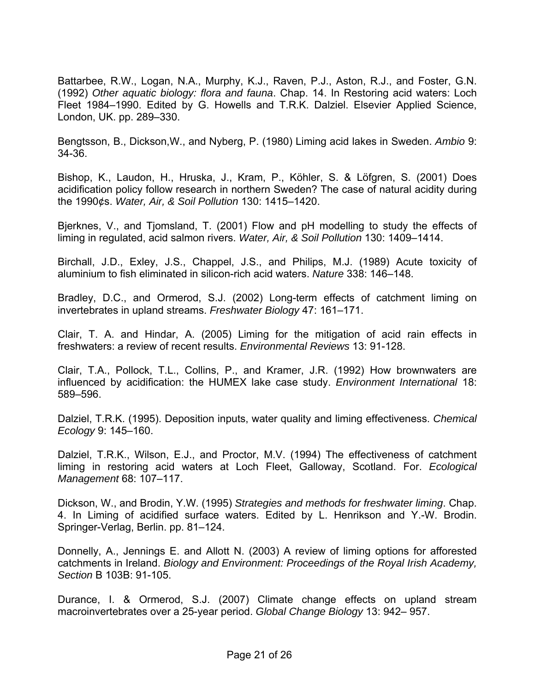Battarbee, R.W., Logan, N.A., Murphy, K.J., Raven, P.J., Aston, R.J., and Foster, G.N. (1992) *Other aquatic biology: flora and fauna*. Chap. 14. In Restoring acid waters: Loch Fleet 1984–1990. Edited by G. Howells and T.R.K. Dalziel. Elsevier Applied Science, London, UK. pp. 289–330.

Bengtsson, B., Dickson,W., and Nyberg, P. (1980) Liming acid lakes in Sweden. *Ambio* 9: 34-36.

Bishop, K., Laudon, H., Hruska, J., Kram, P., Köhler, S. & Löfgren, S. (2001) Does acidification policy follow research in northern Sweden? The case of natural acidity during the 1990¢s. *Water, Air, & Soil Pollution* 130: 1415–1420.

Bjerknes, V., and Tjomsland, T. (2001) Flow and pH modelling to study the effects of liming in regulated, acid salmon rivers. *Water, Air, & Soil Pollution* 130: 1409–1414.

Birchall, J.D., Exley, J.S., Chappel, J.S., and Philips, M.J. (1989) Acute toxicity of aluminium to fish eliminated in silicon-rich acid waters. *Nature* 338: 146–148.

Bradley, D.C., and Ormerod, S.J. (2002) Long-term effects of catchment liming on invertebrates in upland streams. *Freshwater Biology* 47: 161–171.

Clair, T. A. and Hindar, A. (2005) Liming for the mitigation of acid rain effects in freshwaters: a review of recent results. *Environmental Reviews* 13: 91-128.

Clair, T.A., Pollock, T.L., Collins, P., and Kramer, J.R. (1992) How brownwaters are influenced by acidification: the HUMEX lake case study. *Environment International* 18: 589–596.

Dalziel, T.R.K. (1995). Deposition inputs, water quality and liming effectiveness. *Chemical Ecology* 9: 145–160.

Dalziel, T.R.K., Wilson, E.J., and Proctor, M.V. (1994) The effectiveness of catchment liming in restoring acid waters at Loch Fleet, Galloway, Scotland. For. *Ecological Management* 68: 107–117.

Dickson, W., and Brodin, Y.W. (1995) *Strategies and methods for freshwater liming*. Chap. 4. In Liming of acidified surface waters. Edited by L. Henrikson and Y.-W. Brodin. Springer-Verlag, Berlin. pp. 81–124.

Donnelly, A., Jennings E. and Allott N. (2003) A review of liming options for afforested catchments in Ireland. *Biology and Environment: Proceedings of the Royal Irish Academy, Section* B 103B: 91-105.

Durance, I. & Ormerod, S.J. (2007) Climate change effects on upland stream macroinvertebrates over a 25-year period. *Global Change Biology* 13: 942– 957.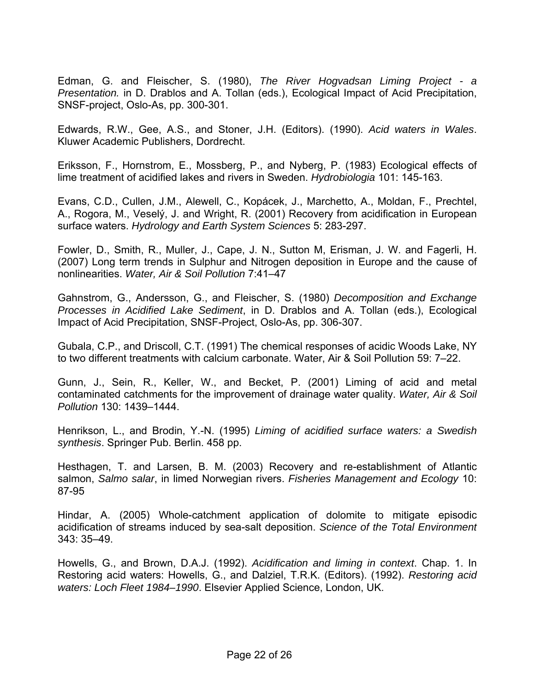Edman, G. and Fleischer, S. (1980), *The River Hogvadsan Liming Project - a Presentation.* in D. Drablos and A. Tollan (eds.), Ecological Impact of Acid Precipitation, SNSF-project, Oslo-As, pp. 300-301.

Edwards, R.W., Gee, A.S., and Stoner, J.H. (Editors). (1990). *Acid waters in Wales*. Kluwer Academic Publishers, Dordrecht.

Eriksson, F., Hornstrom, E., Mossberg, P., and Nyberg, P. (1983) Ecological effects of lime treatment of acidified lakes and rivers in Sweden. *Hydrobiologia* 101: 145-163.

Evans, C.D., Cullen, J.M., Alewell, C., Kopácek, J., Marchetto, A., Moldan, F., Prechtel, A., Rogora, M., Veselý, J. and Wright, R. (2001) Recovery from acidification in European surface waters. *Hydrology and Earth System Sciences* 5: 283-297.

Fowler, D., Smith, R., Muller, J., Cape, J. N., Sutton M, Erisman, J. W. and Fagerli, H. (2007) Long term trends in Sulphur and Nitrogen deposition in Europe and the cause of nonlinearities. *Water, Air & Soil Pollution* 7:41–47

Gahnstrom, G., Andersson, G., and Fleischer, S. (1980) *Decomposition and Exchange Processes in Acidified Lake Sediment*, in D. Drablos and A. Tollan (eds.), Ecological Impact of Acid Precipitation, SNSF-Project, Oslo-As, pp. 306-307.

Gubala, C.P., and Driscoll, C.T. (1991) The chemical responses of acidic Woods Lake, NY to two different treatments with calcium carbonate. Water, Air & Soil Pollution 59: 7–22.

Gunn, J., Sein, R., Keller, W., and Becket, P. (2001) Liming of acid and metal contaminated catchments for the improvement of drainage water quality. *Water, Air & Soil Pollution* 130: 1439–1444.

Henrikson, L., and Brodin, Y.-N. (1995) *Liming of acidified surface waters: a Swedish synthesis*. Springer Pub. Berlin. 458 pp.

Hesthagen, T. and Larsen, B. M. (2003) Recovery and re-establishment of Atlantic salmon, *Salmo salar*, in limed Norwegian rivers. *Fisheries Management and Ecology* 10: 87-95

Hindar, A. (2005) Whole-catchment application of dolomite to mitigate episodic acidification of streams induced by sea-salt deposition. *Science of the Total Environment* 343: 35–49.

Howells, G., and Brown, D.A.J. (1992). *Acidification and liming in context*. Chap. 1. In Restoring acid waters: Howells, G., and Dalziel, T.R.K. (Editors). (1992). *Restoring acid waters: Loch Fleet 1984–1990*. Elsevier Applied Science, London, UK.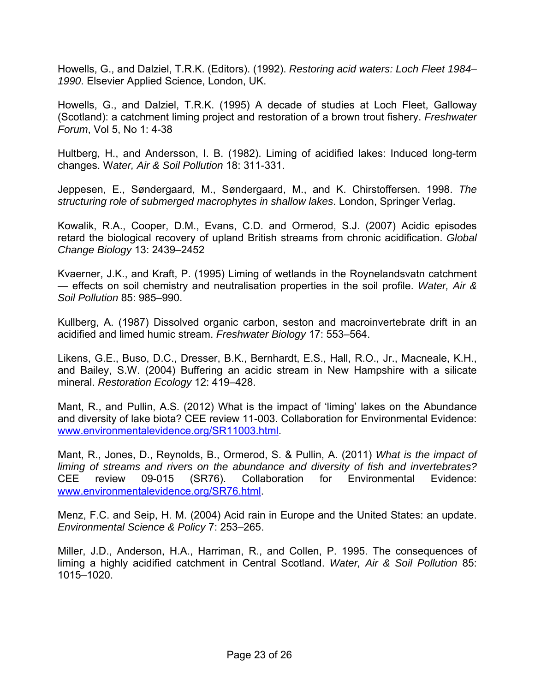Howells, G., and Dalziel, T.R.K. (Editors). (1992). *Restoring acid waters: Loch Fleet 1984– 1990*. Elsevier Applied Science, London, UK.

Howells, G., and Dalziel, T.R.K. (1995) A decade of studies at Loch Fleet, Galloway (Scotland): a catchment liming project and restoration of a brown trout fishery. *Freshwater Forum*, Vol 5, No 1: 4-38

Hultberg, H., and Andersson, I. B. (1982). Liming of acidified lakes: Induced long-term changes. W*ater, Air & Soil Pollution* 18: 311-331.

Jeppesen, E., Søndergaard, M., Søndergaard, M., and K. Chirstoffersen. 1998. *The structuring role of submerged macrophytes in shallow lakes*. London, Springer Verlag.

Kowalik, R.A., Cooper, D.M., Evans, C.D. and Ormerod, S.J. (2007) Acidic episodes retard the biological recovery of upland British streams from chronic acidification. *Global Change Biology* 13: 2439–2452

Kvaerner, J.K., and Kraft, P. (1995) Liming of wetlands in the Roynelandsvatn catchment — effects on soil chemistry and neutralisation properties in the soil profile. *Water, Air & Soil Pollution* 85: 985–990.

Kullberg, A. (1987) Dissolved organic carbon, seston and macroinvertebrate drift in an acidified and limed humic stream. *Freshwater Biology* 17: 553–564.

Likens, G.E., Buso, D.C., Dresser, B.K., Bernhardt, E.S., Hall, R.O., Jr., Macneale, K.H., and Bailey, S.W. (2004) Buffering an acidic stream in New Hampshire with a silicate mineral. *Restoration Ecology* 12: 419–428.

Mant, R., and Pullin, A.S. (2012) What is the impact of 'liming' lakes on the Abundance and diversity of lake biota? CEE review 11-003. Collaboration for Environmental Evidence: [www.environmentalevidence.org/SR11003.html.](http://www.environmentalevidence.org/SR11003.html)

Mant, R., Jones, D., Reynolds, B., Ormerod, S. & Pullin, A. (2011) *What is the impact of liming of streams and rivers on the abundance and diversity of fish and invertebrates?* CEE review 09-015 (SR76). Collaboration for Environmental Evidence: [www.environmentalevidence.org/SR76.html.](http://www.environmentalevidence.org/SR76.html)

Menz, F.C. and Seip, H. M. (2004) Acid rain in Europe and the United States: an update. *Environmental Science & Policy* 7: 253–265.

Miller, J.D., Anderson, H.A., Harriman, R., and Collen, P. 1995. The consequences of liming a highly acidified catchment in Central Scotland. *Water, Air & Soil Pollution* 85: 1015–1020.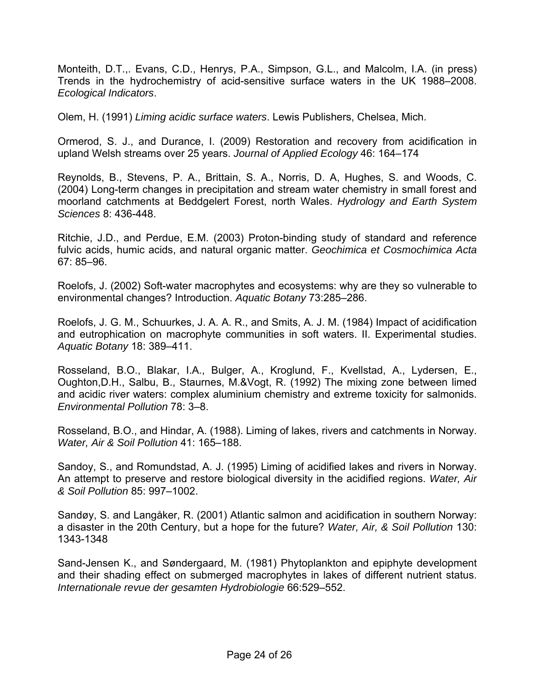Monteith, D.T.,. Evans, C.D., Henrys, P.A., Simpson, G.L., and Malcolm, I.A. (in press) Trends in the hydrochemistry of acid-sensitive surface waters in the UK 1988–2008. *Ecological Indicators*.

Olem, H. (1991) *Liming acidic surface waters*. Lewis Publishers, Chelsea, Mich.

Ormerod, S. J., and Durance, I. (2009) Restoration and recovery from acidification in upland Welsh streams over 25 years. *Journal of Applied Ecology* 46: 164–174

Reynolds, B., Stevens, P. A., Brittain, S. A., Norris, D. A, Hughes, S. and Woods, C. (2004) Long-term changes in precipitation and stream water chemistry in small forest and moorland catchments at Beddgelert Forest, north Wales. *Hydrology and Earth System Sciences* 8: 436-448.

Ritchie, J.D., and Perdue, E.M. (2003) Proton-binding study of standard and reference fulvic acids, humic acids, and natural organic matter. *Geochimica et Cosmochimica Acta* 67: 85–96.

Roelofs, J. (2002) Soft-water macrophytes and ecosystems: why are they so vulnerable to environmental changes? Introduction. *Aquatic Botany* 73:285–286.

Roelofs, J. G. M., Schuurkes, J. A. A. R., and Smits, A. J. M. (1984) Impact of acidification and eutrophication on macrophyte communities in soft waters. II. Experimental studies. *Aquatic Botany* 18: 389–411.

Rosseland, B.O., Blakar, I.A., Bulger, A., Kroglund, F., Kvellstad, A., Lydersen, E., Oughton,D.H., Salbu, B., Staurnes, M.&Vogt, R. (1992) The mixing zone between limed and acidic river waters: complex aluminium chemistry and extreme toxicity for salmonids. *Environmental Pollution* 78: 3–8.

Rosseland, B.O., and Hindar, A. (1988). Liming of lakes, rivers and catchments in Norway. *Water, Air & Soil Pollution* 41: 165–188.

Sandoy, S., and Romundstad, A. J. (1995) Liming of acidified lakes and rivers in Norway. An attempt to preserve and restore biological diversity in the acidified regions. *Water, Air & Soil Pollution* 85: 997–1002.

Sandøy, S. and Langåker, R. (2001) Atlantic salmon and acidification in southern Norway: a disaster in the 20th Century, but a hope for the future? *Water, Air, & Soil Pollution* 130: 1343-1348

Sand-Jensen K., and Søndergaard, M. (1981) Phytoplankton and epiphyte development and their shading effect on submerged macrophytes in lakes of different nutrient status. *Internationale revue der gesamten Hydrobiologie* 66:529–552.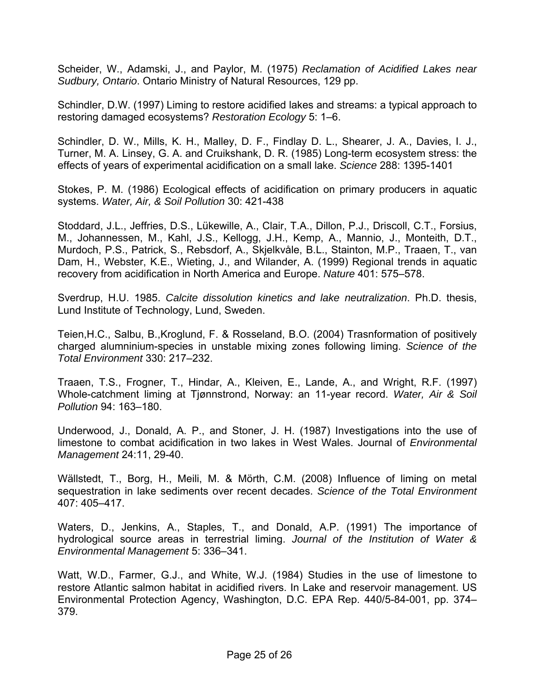Scheider, W., Adamski, J., and Paylor, M. (1975) *Reclamation of Acidified Lakes near Sudbury, Ontario*. Ontario Ministry of Natural Resources, 129 pp.

Schindler, D.W. (1997) Liming to restore acidified lakes and streams: a typical approach to restoring damaged ecosystems? *Restoration Ecology* 5: 1–6.

Schindler, D. W., Mills, K. H., Malley, D. F., Findlay D. L., Shearer, J. A., Davies, I. J., Turner, M. A. Linsey, G. A. and Cruikshank, D. R. (1985) Long-term ecosystem stress: the effects of years of experimental acidification on a small lake. *Science* 288: 1395-1401

Stokes, P. M. (1986) Ecological effects of acidification on primary producers in aquatic systems. *Water, Air, & Soil Pollution* 30: 421-438

Stoddard, J.L., Jeffries, D.S., Lükewille, A., Clair, T.A., Dillon, P.J., Driscoll, C.T., Forsius, M., Johannessen, M., Kahl, J.S., Kellogg, J.H., Kemp, A., Mannio, J., Monteith, D.T., Murdoch, P.S., Patrick, S., Rebsdorf, A., Skjelkvåle, B.L., Stainton, M.P., Traaen, T., van Dam, H., Webster, K.E., Wieting, J., and Wilander, A. (1999) Regional trends in aquatic recovery from acidification in North America and Europe. *Nature* 401: 575–578.

Sverdrup, H.U. 1985. *Calcite dissolution kinetics and lake neutralization*. Ph.D. thesis, Lund Institute of Technology, Lund, Sweden.

Teien,H.C., Salbu, B.,Kroglund, F. & Rosseland, B.O. (2004) Trasnformation of positively charged alumninium-species in unstable mixing zones following liming. *Science of the Total Environment* 330: 217–232.

Traaen, T.S., Frogner, T., Hindar, A., Kleiven, E., Lande, A., and Wright, R.F. (1997) Whole-catchment liming at Tjønnstrond, Norway: an 11-year record. *Water, Air & Soil Pollution* 94: 163–180.

Underwood, J., Donald, A. P., and Stoner, J. H. (1987) Investigations into the use of limestone to combat acidification in two lakes in West Wales. Journal of *Environmental Management* 24:11, 29-40.

Wällstedt, T., Borg, H., Meili, M. & Mörth, C.M. (2008) Influence of liming on metal sequestration in lake sediments over recent decades. *Science of the Total Environment* 407: 405–417.

Waters, D., Jenkins, A., Staples, T., and Donald, A.P. (1991) The importance of hydrological source areas in terrestrial liming. *Journal of the Institution of Water & Environmental Management* 5: 336–341.

Watt, W.D., Farmer, G.J., and White, W.J. (1984) Studies in the use of limestone to restore Atlantic salmon habitat in acidified rivers. In Lake and reservoir management. US Environmental Protection Agency, Washington, D.C. EPA Rep. 440/5-84-001, pp. 374– 379.